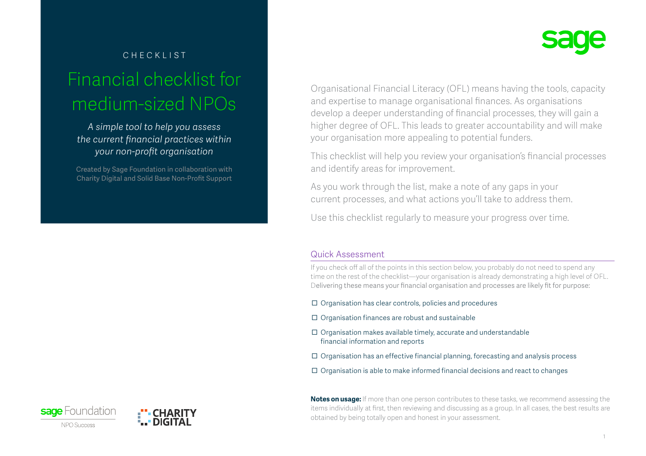# checklist Financial checklist for medium-sized NPOs

*A simple tool to help you assess the current financial practices within your non-profit organisation* 

Created by Sage Foundation in collaboration with Charity Digital and Solid Base Non-Profit Support



Organisational Financial Literacy (OFL) means having the tools, capacity and expertise to manage organisational finances. As organisations develop a deeper understanding of financial processes, they will gain a higher degree of OFL. This leads to greater accountability and will make your organisation more appealing to potential funders.

This checklist will help you review your organisation's financial processes and identify areas for improvement.

As you work through the list, make a note of any gaps in your current processes, and what actions you'll take to address them.

Use this checklist regularly to measure your progress over time.

### Quick Assessment

If you check off all of the points in this section below, you probably do not need to spend any time on the rest of the checklist—your organisation is already demonstrating a high level of OFL. Delivering these means your financial organisation and processes are likely fit for purpose:

- $\Box$  Organisation has clear controls, policies and procedures
- $\Box$  Organisation finances are robust and sustainable
- $\Box$  Organisation makes available timely, accurate and understandable financial information and reports
- $\Box$  Organisation has an effective financial planning, forecasting and analysis process
- $\Box$  Organisation is able to make informed financial decisions and react to changes

**Notes on usage:** If more than one person contributes to these tasks, we recommend assessing the items individually at first, then reviewing and discussing as a group. In all cases, the best results are obtained by being totally open and honest in your assessment.



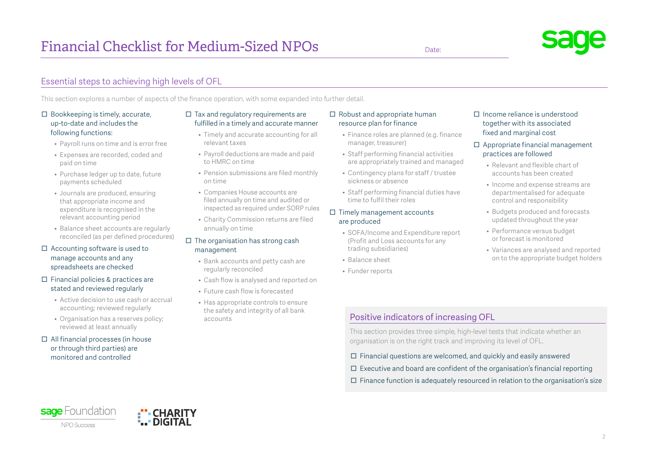This section explores a number of aspects of the finance operation, with some expanded into further detail.

#### $\Box$  Bookkeeping is timely, accurate, up-to-date and includes the following functions:

- Payroll runs on time and is error free
- Expenses are recorded, coded and paid on time
- Purchase ledger up to date, future payments scheduled
- Journals are produced, ensuring that appropriate income and expenditure is recognised in the relevant accounting period
- Balance sheet accounts are regularly reconciled (as per defined procedures)
- $\Box$  Accounting software is used to manage accounts and any spreadsheets are checked
- $\Box$  Financial policies & practices are stated and reviewed regularly
	- Active decision to use cash or accrual accounting; reviewed regularly
	- Organisation has a reserves policy; reviewed at least annually

∎"" CHARIT

#### $\Box$  All financial processes (in house or through third parties) are monitored and controlled

#### $\Box$  Tax and regulatory requirements are fulfilled in a timely and accurate manner

- Timely and accurate accounting for all relevant taxes
- Payroll deductions are made and paid to HMRC on time
- Pension submissions are filed monthly on time
- Companies House accounts are filed annually on time and audited or inspected as required under SORP rules
- Charity Commission returns are filed annually on time

#### $\Box$  The organisation has strong cash management

- Bank accounts and petty cash are regularly reconciled
- 
- the safety and integrity of all bank accounts

#### $\Box$  Robust and appropriate human resource plan for finance

- Finance roles are planned (e.g. finance manager, treasurer)
- Staff performing financial activities are appropriately trained and managed
- Contingency plans for staff / trustee sickness or absence
- Staff performing financial duties have time to fulfil their roles

#### $\Box$  Timely management accounts are produced

- SOFA/Income and Expenditure report (Profit and Loss accounts for any trading subsidiaries)
- Balance sheet
- Funder reports

#### Income reliance is understood together with its associated fixed and marginal cost

#### $\Box$  Appropriate financial management practices are followed

- Relevant and flexible chart of accounts has been created
- Income and expense streams are departmentalised for adequate control and responsibility
- Budgets produced and forecasts updated throughout the year
- Performance versus budget or forecast is monitored
- Variances are analysed and reported on to the appropriate budget holders

### Positive indicators of increasing OFL

This section provides three simple, high-level tests that indicate whether an organisation is on the right track and improving its level of OFL.

- $\Box$  Financial questions are welcomed, and quickly and easily answered
- $\Box$  Executive and board are confident of the organisation's financial reporting
- $\Box$  Finance function is adequately resourced in relation to the organisation's size

- 
- Cash flow is analysed and reported on
- Future cash flow is forecasted
- Has appropriate controls to ensure